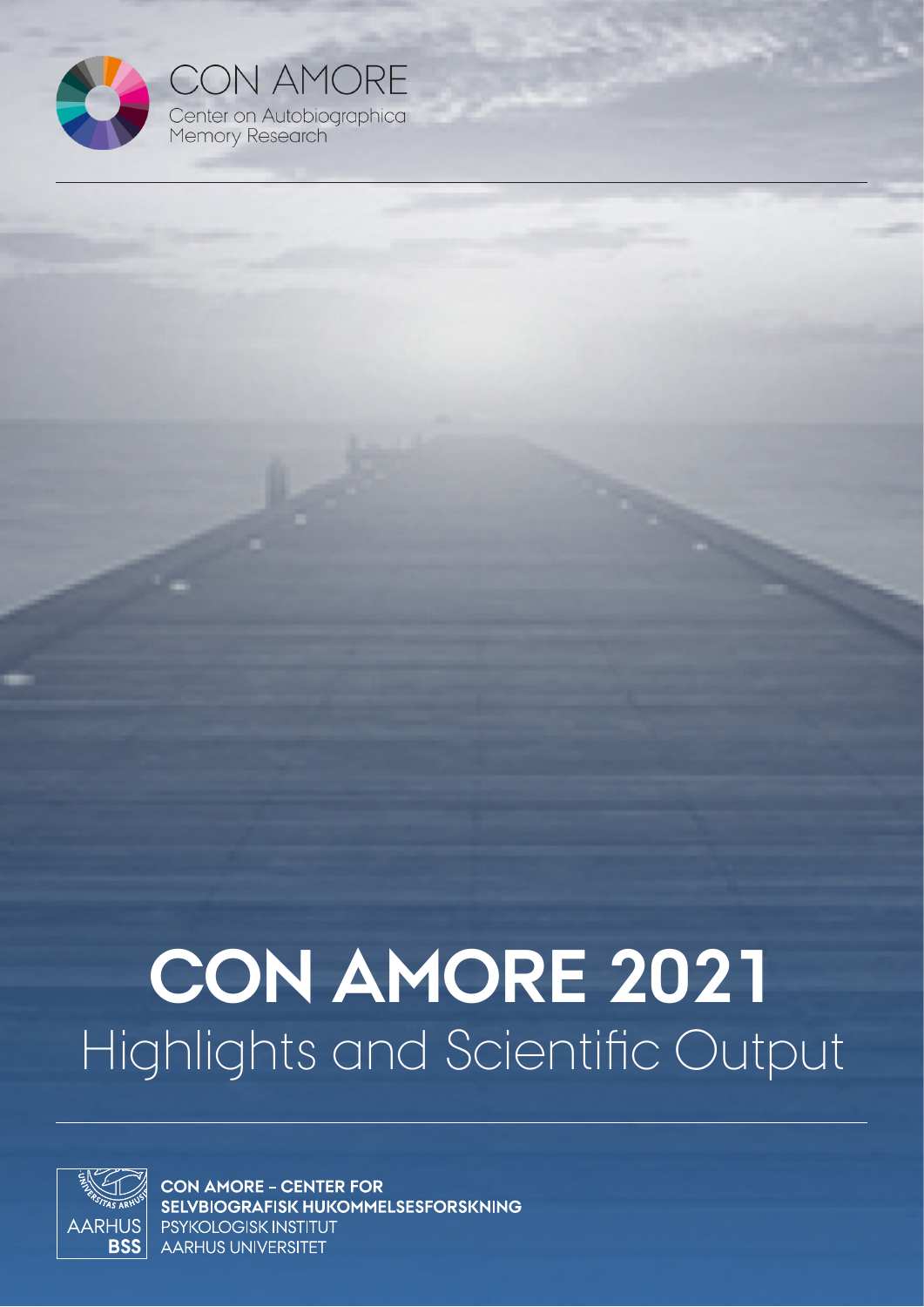

**CON AMORE** Center on Autobiographical<br>Memory Research

# **CON AMORE 2021** Highlights and Scientific Output



**CON AMORE - CENTER FOR** SELVBIOGRAFISK HUKOMMELSESFORSKNING PSYKOLOGISK INSTITUT **AARHUS UNIVERSITET**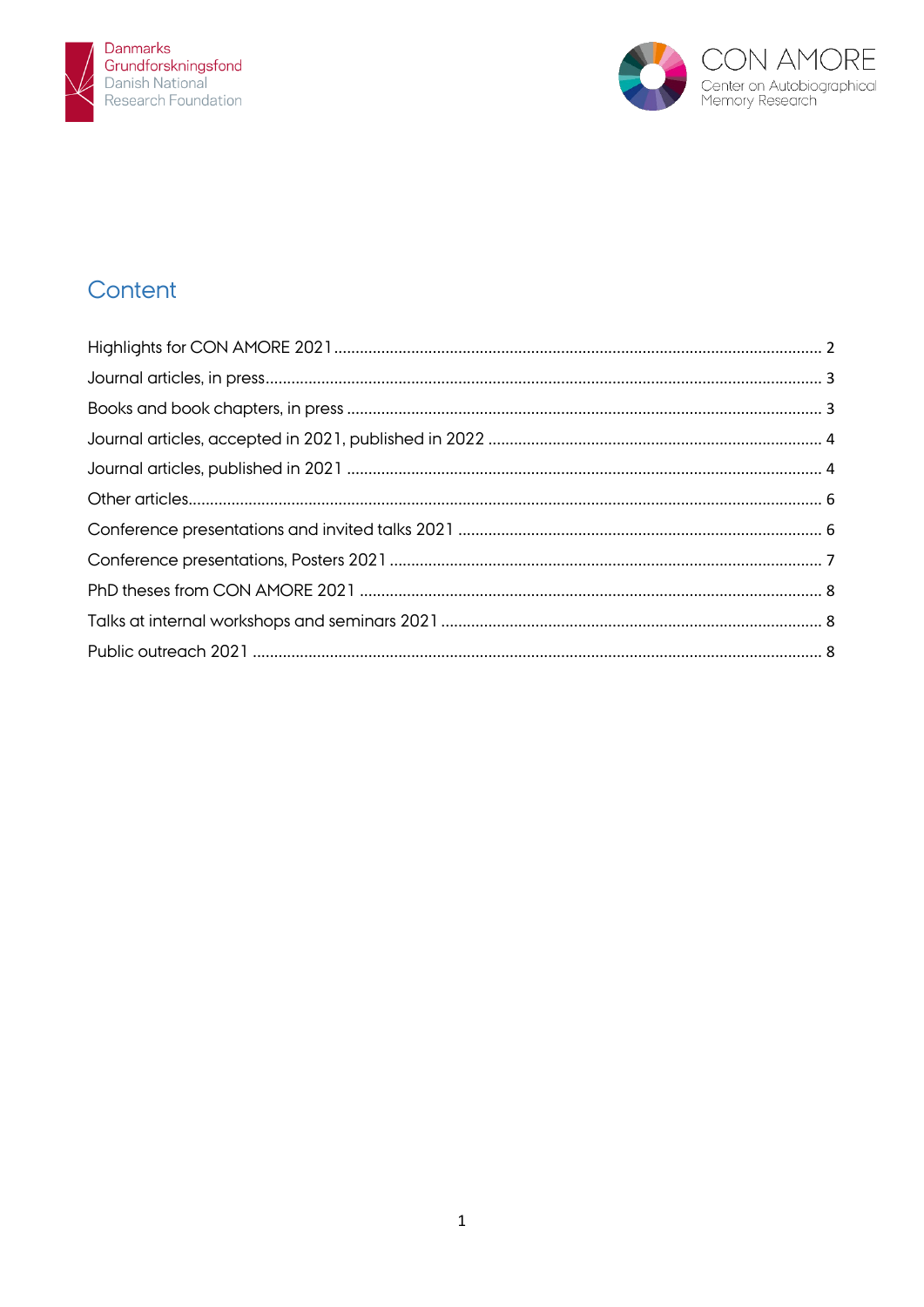



# Content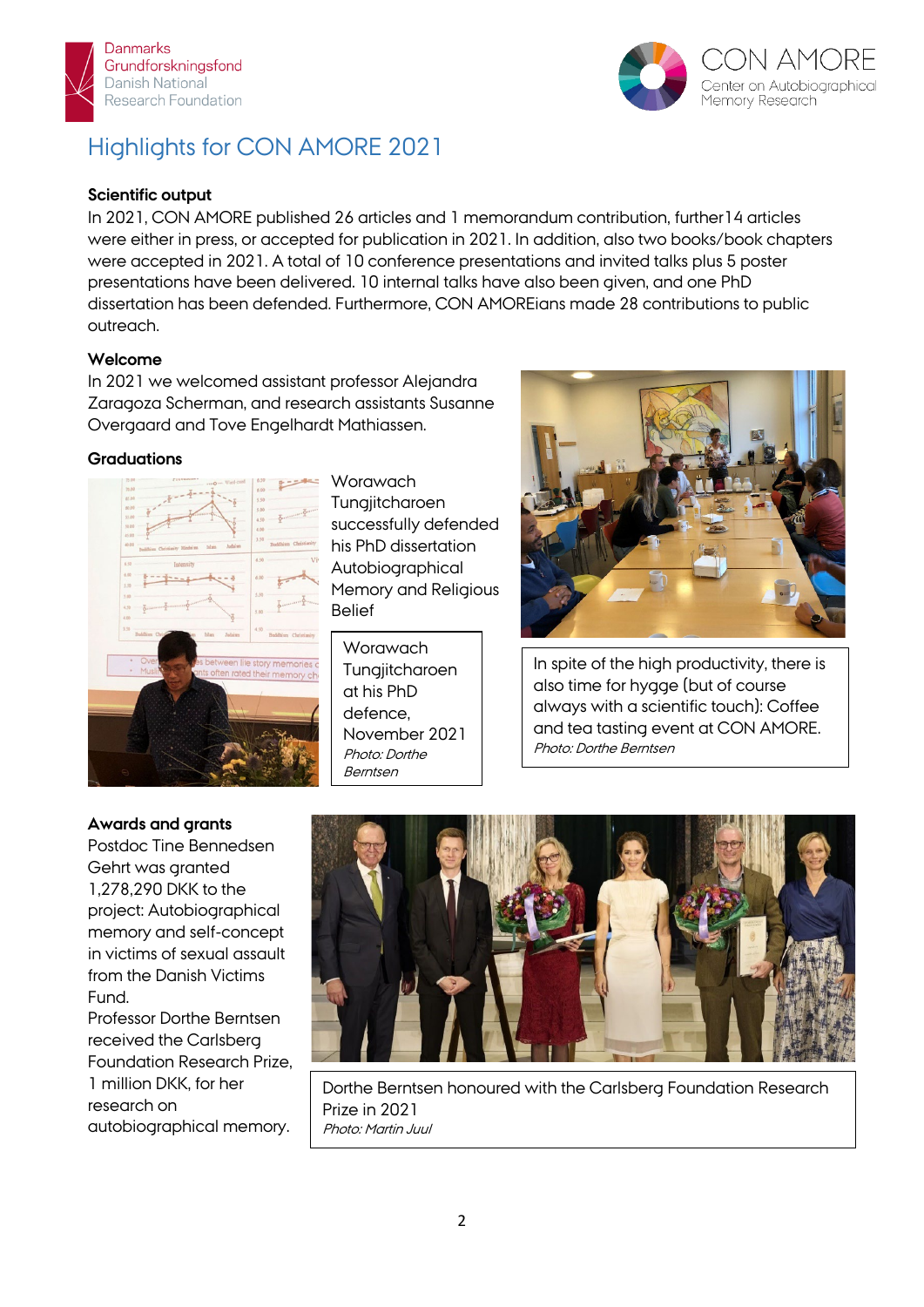



# Highlights for CON AMORE 2021

#### **Scientific output**

In 2021, CON AMORE published 26 articles and 1 memorandum contribution, further14 articles were either in press, or accepted for publication in 2021. In addition, also two books/book chapters were accepted in 2021. A total of 10 conference presentations and invited talks plus 5 poster presentations have been delivered. 10 internal talks have also been given, and one PhD dissertation has been defended. Furthermore, CON AMOREians made 28 contributions to public outreach.

#### **Welcome**

In 2021 we welcomed assistant professor Alejandra Zaragoza Scherman, and research assistants Susanne Overgaard and Tove Engelhardt Mathiassen.

#### **Graduations**



**Worawach Tungjitcharoen** successfully defended his PhD dissertation Autobiographical Memory and Religious Belief

**Worawach Tungjitcharoen** at his PhD defence, November 2021 Photo: Dorthe Berntsen



In spite of the high productivity, there is also time for hygge (but of course always with a scientific touch): Coffee and tea tasting event at CON AMORE. Photo: Dorthe Berntsen

#### **Awards and grants**

Postdoc Tine Bennedsen Gehrt was granted 1,278,290 DKK to the project: Autobiographical memory and self-concept in victims of sexual assault from the Danish Victims Fund.

Professor Dorthe Berntsen received the Carlsberg Foundation Research Prize, 1 million DKK, for her research on autobiographical memory.



Dorthe Berntsen honoured with the Carlsberg Foundation Research Prize in 2021 Photo: Martin Juul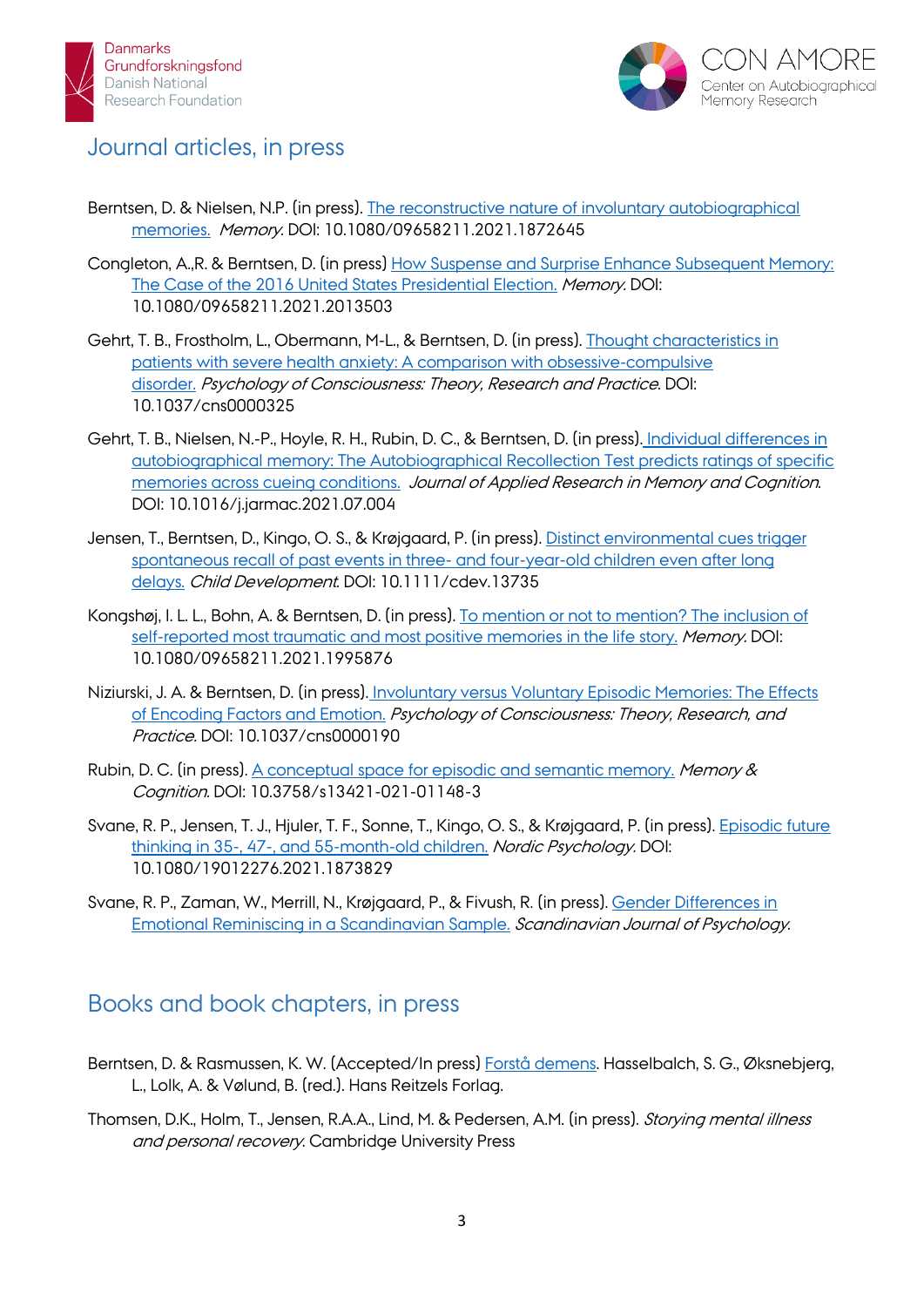



## Journal articles, in press

- Berntsen, D. & Nielsen, N.P. (in press). [The reconstructive nature of involuntary autobiographical](https://pure.au.dk/portal/da/persons/dorthe-berntsen(2a5c3e80-973a-4b35-883d-a7de4143885c)/publications/the-reconstructive-nature-of-involuntary-autobiographical-memories(474739d6-ac3a-465c-9778-ad74580a93c5).html)  [memories.](https://pure.au.dk/portal/da/persons/dorthe-berntsen(2a5c3e80-973a-4b35-883d-a7de4143885c)/publications/the-reconstructive-nature-of-involuntary-autobiographical-memories(474739d6-ac3a-465c-9778-ad74580a93c5).html) Memory. DOI: 10.1080/09658211.2021.1872645
- Congleton, A.,R. & Berntsen, D. (in press) [How Suspense and Surprise Enhance Subsequent Memory:](https://pure.au.dk/portal/en/persons/dorthe-berntsen(2a5c3e80-973a-4b35-883d-a7de4143885c)/publications/how-suspense-and-surprise-enhance-subsequent-memory(3a8a4f63-3ca4-4552-be95-8f3904c2a5ae).html)  [The Case of the 2016 United States Presidential Election.](https://pure.au.dk/portal/en/persons/dorthe-berntsen(2a5c3e80-973a-4b35-883d-a7de4143885c)/publications/how-suspense-and-surprise-enhance-subsequent-memory(3a8a4f63-3ca4-4552-be95-8f3904c2a5ae).html) Memory. DOI: 10.1080/09658211.2021.2013503
- Gehrt, T. B., Frostholm, L., Obermann, M-L., & Berntsen, D. (in press). [Thought characteristics in](https://pure.au.dk/portal/en/persons/tine-bennedsen-gehrt(f897282f-e722-40e4-a9ee-ed5cea377ffc)/publications/thought-characteristics-in-patients-with-severe-health-anxiety-a-comparison-with-obsessivecompulsive-disorder(b8ee43fa-2f7d-489d-8e05-4ac71b40005c).html)  [patients with severe health anxiety: A comparison with obsessive-compulsive](https://pure.au.dk/portal/en/persons/tine-bennedsen-gehrt(f897282f-e722-40e4-a9ee-ed5cea377ffc)/publications/thought-characteristics-in-patients-with-severe-health-anxiety-a-comparison-with-obsessivecompulsive-disorder(b8ee43fa-2f7d-489d-8e05-4ac71b40005c).html)  [disorder.](https://pure.au.dk/portal/en/persons/tine-bennedsen-gehrt(f897282f-e722-40e4-a9ee-ed5cea377ffc)/publications/thought-characteristics-in-patients-with-severe-health-anxiety-a-comparison-with-obsessivecompulsive-disorder(b8ee43fa-2f7d-489d-8e05-4ac71b40005c).html) Psychology of Consciousness: Theory, Research and Practice. DOI: 10.1037/cns0000325
- Gehrt, T. B., Nielsen, N.-P., Hoyle, R. H., Rubin, D. C., & Berntsen, D. (in press). [Individual differences in](https://pure.au.dk/portal/en/persons/tine-bennedsen-gehrt(f897282f-e722-40e4-a9ee-ed5cea377ffc)/publications/individual-differences-in-autobiographical-memory-the-autobiographical-recollection-test-predicts-ratings-of-specific-memories-across-cueing-conditions(81cda397-cdf6-4061-acf4-e83ab5e49331).html)  [autobiographical memory: The Autobiographical Recollection Test predicts ratings of specific](https://pure.au.dk/portal/en/persons/tine-bennedsen-gehrt(f897282f-e722-40e4-a9ee-ed5cea377ffc)/publications/individual-differences-in-autobiographical-memory-the-autobiographical-recollection-test-predicts-ratings-of-specific-memories-across-cueing-conditions(81cda397-cdf6-4061-acf4-e83ab5e49331).html)  [memories across cueing conditions.](https://pure.au.dk/portal/en/persons/tine-bennedsen-gehrt(f897282f-e722-40e4-a9ee-ed5cea377ffc)/publications/individual-differences-in-autobiographical-memory-the-autobiographical-recollection-test-predicts-ratings-of-specific-memories-across-cueing-conditions(81cda397-cdf6-4061-acf4-e83ab5e49331).html) Journal of Applied Research in Memory and Cognition. DOI: 10.1016/j.jarmac.2021.07.004
- Jensen, T., Berntsen, D., Kingo, O. S., & Krøjgaard, P. (in press). [Distinct environmental cues trigger](https://pure.au.dk/portal/da/persons/toril-jensen(f788524e-00ef-4b42-b393-fcb35afb788a)/publications/distinct-environmental-cues-trigger-spontaneous-recall-of-past-events-in-three-and-fouryearold-children-even-after-long-delays(6cf099e0-219a-4395-ac41-91d687116e1e).html)  spontaneous recall of past events in three- [and four-year-old children even after long](https://pure.au.dk/portal/da/persons/toril-jensen(f788524e-00ef-4b42-b393-fcb35afb788a)/publications/distinct-environmental-cues-trigger-spontaneous-recall-of-past-events-in-three-and-fouryearold-children-even-after-long-delays(6cf099e0-219a-4395-ac41-91d687116e1e).html)  [delays.](https://pure.au.dk/portal/da/persons/toril-jensen(f788524e-00ef-4b42-b393-fcb35afb788a)/publications/distinct-environmental-cues-trigger-spontaneous-recall-of-past-events-in-three-and-fouryearold-children-even-after-long-delays(6cf099e0-219a-4395-ac41-91d687116e1e).html) Child Development. DOI: 10.1111/cdev.13735
- Kongshøj, I. L. L., Bohn, A. & Berntsen, D. (in press). [To mention or not to mention? The inclusion of](https://pure.au.dk/portal/en/persons/inge-lise-lundsgaard-kongshoej(43e2a667-be60-4fb6-8831-761c93d56f60)/publications/to-mention-or-not-to-mention-the-inclusion-of-selfreported-most-traumatic-and-most-positive-memories-in-the-life-story(2073dc07-20b9-4b65-bb2d-c9d693658015).html)  [self-reported most traumatic and most positive memories in the life story.](https://pure.au.dk/portal/en/persons/inge-lise-lundsgaard-kongshoej(43e2a667-be60-4fb6-8831-761c93d56f60)/publications/to-mention-or-not-to-mention-the-inclusion-of-selfreported-most-traumatic-and-most-positive-memories-in-the-life-story(2073dc07-20b9-4b65-bb2d-c9d693658015).html) Memory. DOI: 10.1080/09658211.2021.1995876
- Niziurski, J. A. & Berntsen, D. (in press). [Involuntary versus Voluntary Episodic Memories: The Effects](https://pure.au.dk/portal/da/persons/dorthe-berntsen(2a5c3e80-973a-4b35-883d-a7de4143885c)/publications/involuntary-versus-voluntary-episodic-memories(024a0b0a-7c69-449b-9082-dd9217f7dac2).html)  [of Encoding Factors and Emotion.](https://pure.au.dk/portal/da/persons/dorthe-berntsen(2a5c3e80-973a-4b35-883d-a7de4143885c)/publications/involuntary-versus-voluntary-episodic-memories(024a0b0a-7c69-449b-9082-dd9217f7dac2).html) Psychology of Consciousness: Theory, Research, and Practice. DOI: 10.1037/cns0000190
- Rubin, D. C. (in press). [A conceptual space for episodic and semantic memory.](https://pubmed.ncbi.nlm.nih.gov/33650021/) Memory & Cognition. DOI: 10.3758/s13421-021-01148-3
- Svane, R. P., Jensen, T. J., Hjuler, T. F., Sonne, T., Kingo, O. S., & Krøjgaard, P. (in press). [Episodic future](https://pure.au.dk/portal/en/persons/riikka-pauliina-svane(ddd9635e-4c10-4ac7-8287-fd6bfb4e6a56)/publications/episodic-future-thinking-in-35-47-and-55monthold-children(7eb7b18f-7b93-4dd5-a505-c0b619bbbce1).html)  [thinking in 35-, 47-, and 55-month-old children.](https://pure.au.dk/portal/en/persons/riikka-pauliina-svane(ddd9635e-4c10-4ac7-8287-fd6bfb4e6a56)/publications/episodic-future-thinking-in-35-47-and-55monthold-children(7eb7b18f-7b93-4dd5-a505-c0b619bbbce1).html) Nordic Psychology. DOI: 10.1080/19012276.2021.1873829
- Svane, R. P., Zaman, W., Merrill, N., Krøjgaard, P., & Fivush, R. (in press). [Gender Differences in](https://pure.au.dk/portal/en/persons/riikka-pauliina-svane(ddd9635e-4c10-4ac7-8287-fd6bfb4e6a56)/publications/gender-differences-in-emotional-reminiscing-in-a-scandinavian-sample(1a4c9224-f230-40c3-8d03-506c133cecae).html)  [Emotional Reminiscing in a Scandinavian Sample.](https://pure.au.dk/portal/en/persons/riikka-pauliina-svane(ddd9635e-4c10-4ac7-8287-fd6bfb4e6a56)/publications/gender-differences-in-emotional-reminiscing-in-a-scandinavian-sample(1a4c9224-f230-40c3-8d03-506c133cecae).html) Scandinavian Journal of Psychology.

## Books and book chapters, in press

- Berntsen, D. & Rasmussen, K. W. (Accepted/In press) [Forstå demens.](https://pure.au.dk/portal/en/persons/dorthe-berntsen(2a5c3e80-973a-4b35-883d-a7de4143885c)/publications/reminiscens(80d82b63-9a70-473d-9501-19535f6b1d31).html) Hasselbalch, S. G., Øksnebjerg, L., Lolk, A. & Vølund, B. (red.). Hans Reitzels Forlag.
- Thomsen, D.K., Holm, T., Jensen, R.A.A., Lind, M. & Pedersen, A.M. (in press). Storying mental illness and personal recovery. Cambridge University Press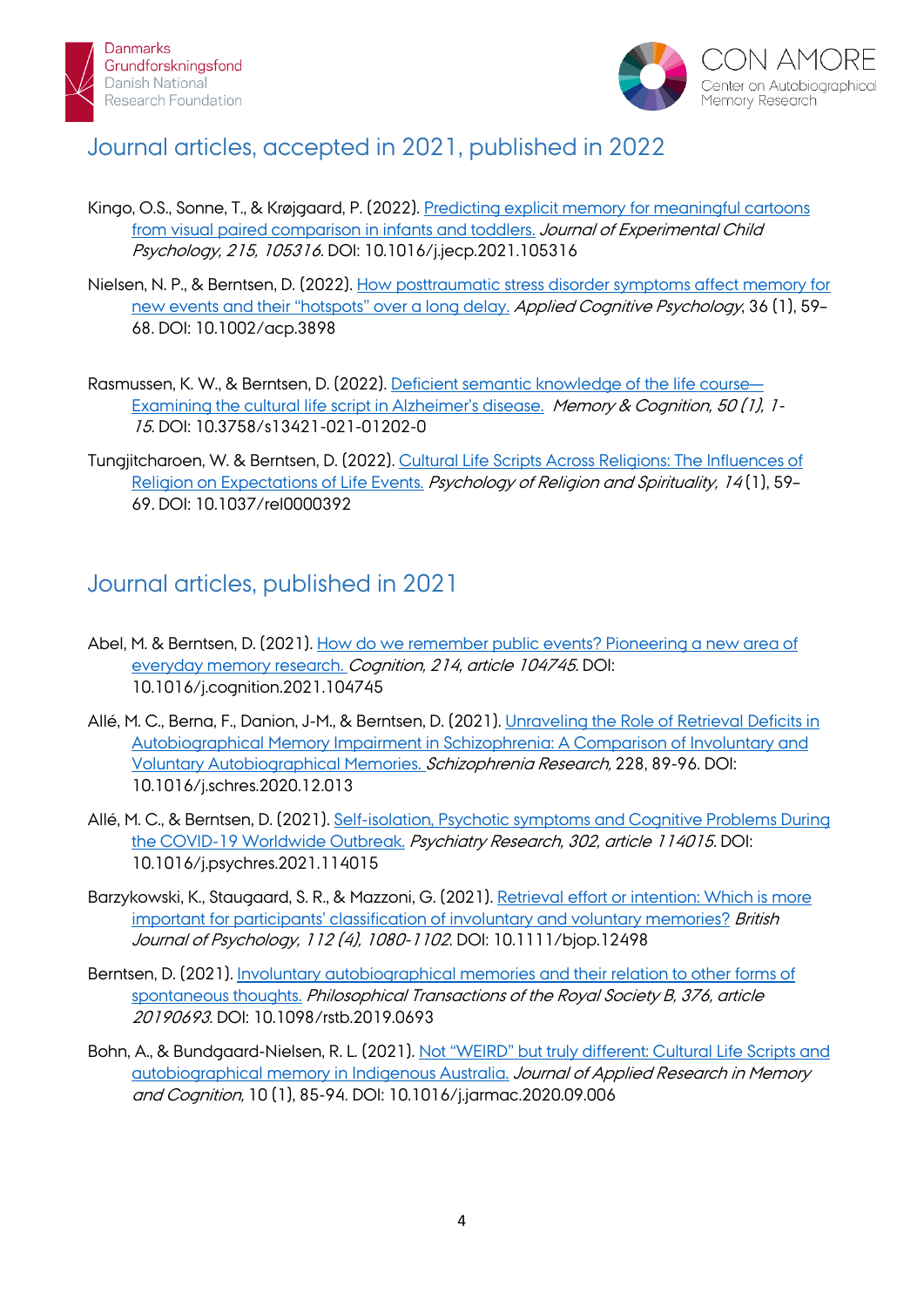



# Journal articles, accepted in 2021, published in 2022

- Kingo, O.S., Sonne, T., & Krøjgaard, P. (2022). [Predicting explicit memory for meaningful cartoons](https://pure.au.dk/portal/en/persons/osman-skjold-kingo(4f672b01-c0b1-4be5-af69-217abcf6adef)/publications/predicting-explicit-memory-for-meaningful-cartoons-from-visual-paired-comparison-in-infants-and-toddlers-(d722127e-e5f1-4b4d-b39a-186070036566).html)  from visual [paired comparison in infants and toddlers.](https://pure.au.dk/portal/en/persons/osman-skjold-kingo(4f672b01-c0b1-4be5-af69-217abcf6adef)/publications/predicting-explicit-memory-for-meaningful-cartoons-from-visual-paired-comparison-in-infants-and-toddlers-(d722127e-e5f1-4b4d-b39a-186070036566).html) Journal of Experimental Child Psychology, 215, 105316. DOI: 10.1016/j.jecp.2021.105316
- Nielsen, N. P., & Berntsen, D. (2022). [How posttraumatic stress disorder symptoms affect memory for](https://pure.au.dk/portal/en/persons/niels-peter-nielsen(41f1dd5c-5a33-40e3-bb56-64049ac57482)/publications/how-posttraumatic-stress-disorder-symptoms-affect-memory-for-new-events-and-their-hotspots-over-a-long-delay(936fe43a-52bd-4d6c-bc23-f37e73c2ffcd).html)  [new events and their "hotspots" over a long delay.](https://pure.au.dk/portal/en/persons/niels-peter-nielsen(41f1dd5c-5a33-40e3-bb56-64049ac57482)/publications/how-posttraumatic-stress-disorder-symptoms-affect-memory-for-new-events-and-their-hotspots-over-a-long-delay(936fe43a-52bd-4d6c-bc23-f37e73c2ffcd).html) Applied Cognitive Psychology, 36 (1), 59-68. DOI: 10.1002/acp.3898
- Rasmussen, K. W., & Berntsen, D. (2022). [Deficient semantic knowledge of the life course—](https://pure.au.dk/portal/da/persons/katrine-willemoes-rasmussen(9df5a07e-17ed-431d-850c-011842ac8c4c)/publications/deficient-semantic-knowledge-of-the-life-courseexamining-the-cultural-life-script-in-alzheimers-disease(4a5d3fa5-da22-426a-95ef-d0aeadaed021).html) [Examining the cultural life script in Alzheimer's disease.](https://pure.au.dk/portal/da/persons/katrine-willemoes-rasmussen(9df5a07e-17ed-431d-850c-011842ac8c4c)/publications/deficient-semantic-knowledge-of-the-life-courseexamining-the-cultural-life-script-in-alzheimers-disease(4a5d3fa5-da22-426a-95ef-d0aeadaed021).html) Memory & Cognition, 50 (1), 1-15. DOI: 10.3758/s13421-021-01202-0
- Tungjitcharoen, W. & Berntsen, D. (2022). [Cultural Life Scripts Across Religions: The Influences of](https://pure.au.dk/portal/da/persons/worawach-tungjitcharoen(1a998f28-2fe4-4695-b8ff-354cd32fa77a)/publications/cultural-life-scripts-across-religions-the-influences-of-religion-on-expectations-of-life-events(e494ac07-f258-4112-aafa-88f30c2be7fc).html)  [Religion on Expectations of Life Events.](https://pure.au.dk/portal/da/persons/worawach-tungjitcharoen(1a998f28-2fe4-4695-b8ff-354cd32fa77a)/publications/cultural-life-scripts-across-religions-the-influences-of-religion-on-expectations-of-life-events(e494ac07-f258-4112-aafa-88f30c2be7fc).html) Psychology of Religion and Spirituality, 14(1), 59-69. DOI: 10.1037/rel0000392

## Journal articles, published in 2021

- Abel, M. & Berntsen, D. (2021). [How do we remember public events? Pioneering a new area of](https://pure.au.dk/portal/da/persons/dorthe-berntsen(2a5c3e80-973a-4b35-883d-a7de4143885c)/publications/how-do-we-remember-public-events(0db823fb-5592-4dba-a1b3-dad4c748f15b).html)  [everyday memory research.](https://pure.au.dk/portal/da/persons/dorthe-berntsen(2a5c3e80-973a-4b35-883d-a7de4143885c)/publications/how-do-we-remember-public-events(0db823fb-5592-4dba-a1b3-dad4c748f15b).html) Cognition, 214, article 104745. DOI: 10.1016/j.cognition.2021.104745
- Allé, M. C., Berna, F., Danion, J-M., & Berntsen, D. (2021). Unraveling the Role of Retrieval Deficits in [Autobiographical Memory Impairment in Schizophrenia: A Comparison of Involuntary and](https://pure.au.dk/portal/da/persons/dorthe-berntsen(2a5c3e80-973a-4b35-883d-a7de4143885c)/publications/unraveling-the-role-of-retrieval-deficits-in-autobiographical-memory-impairment-in-schizophrenia(235df75c-814c-4478-af66-d31ab9e1cc5c).html)  [Voluntary Autobiographical Memories.](https://pure.au.dk/portal/da/persons/dorthe-berntsen(2a5c3e80-973a-4b35-883d-a7de4143885c)/publications/unraveling-the-role-of-retrieval-deficits-in-autobiographical-memory-impairment-in-schizophrenia(235df75c-814c-4478-af66-d31ab9e1cc5c).html) Schizophrenia Research, 228, 89-96. DOI: 10.1016/j.schres.2020.12.013
- Allé, M. C., & Berntsen, D. (2021). [Self-isolation, Psychotic symptoms and Cognitive Problems During](https://pure.au.dk/portal/da/persons/dorthe-berntsen(2a5c3e80-973a-4b35-883d-a7de4143885c)/publications/selfisolation-psychotic-symptoms-and-cognitive-problems-during-the-covid19-worldwide-outbreak(2d24b551-04a5-4ddf-ba8a-e19fab3d49d5).html)  [the COVID-19 Worldwide Outbreak.](https://pure.au.dk/portal/da/persons/dorthe-berntsen(2a5c3e80-973a-4b35-883d-a7de4143885c)/publications/selfisolation-psychotic-symptoms-and-cognitive-problems-during-the-covid19-worldwide-outbreak(2d24b551-04a5-4ddf-ba8a-e19fab3d49d5).html) Psychiatry Research, 302, article 114015. DOI: 10.1016/j.psychres.2021.114015
- Barzykowski, K., Staugaard, S. R., & Mazzoni, G. (2021). [Retrieval effort or intention: Which is more](https://pure.au.dk/portal/da/persons/soeren-risloev-staugaard(1175708f-e446-4ec3-a81b-63e7f0d2e848)/publications/retrieval-effort-or-intention(6c7cb55b-83a5-4e96-9bb9-6f0b82f76c03).html)  [important for participants' classification of involuntary and voluntary memories?](https://pure.au.dk/portal/da/persons/soeren-risloev-staugaard(1175708f-e446-4ec3-a81b-63e7f0d2e848)/publications/retrieval-effort-or-intention(6c7cb55b-83a5-4e96-9bb9-6f0b82f76c03).html) *British* Journal of Psychology, 112 (4), 1080-1102. DOI: 10.1111/bjop.12498
- Berntsen, D. (2021). [Involuntary autobiographical memories and their relation to other forms of](https://pure.au.dk/portal/en/persons/dorthe-berntsen(2a5c3e80-973a-4b35-883d-a7de4143885c)/publications/involuntary-autobiographical-memories-and-their-relation-to-other-forms-of-spontaneous-thoughts(20fd67a7-b570-43aa-81da-013e5bd78efd).html)  [spontaneous thoughts.](https://pure.au.dk/portal/en/persons/dorthe-berntsen(2a5c3e80-973a-4b35-883d-a7de4143885c)/publications/involuntary-autobiographical-memories-and-their-relation-to-other-forms-of-spontaneous-thoughts(20fd67a7-b570-43aa-81da-013e5bd78efd).html) Philosophical Transactions of the Royal Society B, 376, article 20190693. DOI: 10.1098/rstb.2019.0693
- Bohn, A., & Bundgaard-Nielsen, R. L. (2021). [Not "WEIRD" but truly different: Cultural Life Scripts and](https://pure.au.dk/portal/en/persons/annette-bohn(63156000-0ce0-4610-b068-ee3354380b04)/publications/not-weird-but-truly-different-cultural-life-scripts-and-autobiographical-memory-in-indigenous-australia(7e4ac16f-4944-4a60-8973-90056eaa37ab).html)  [autobiographical memory in Indigenous Australia.](https://pure.au.dk/portal/en/persons/annette-bohn(63156000-0ce0-4610-b068-ee3354380b04)/publications/not-weird-but-truly-different-cultural-life-scripts-and-autobiographical-memory-in-indigenous-australia(7e4ac16f-4944-4a60-8973-90056eaa37ab).html) Journal of Applied Research in Memory and Cognition, 10 (1), 85-94. DOI: 10.1016/j.jarmac.2020.09.006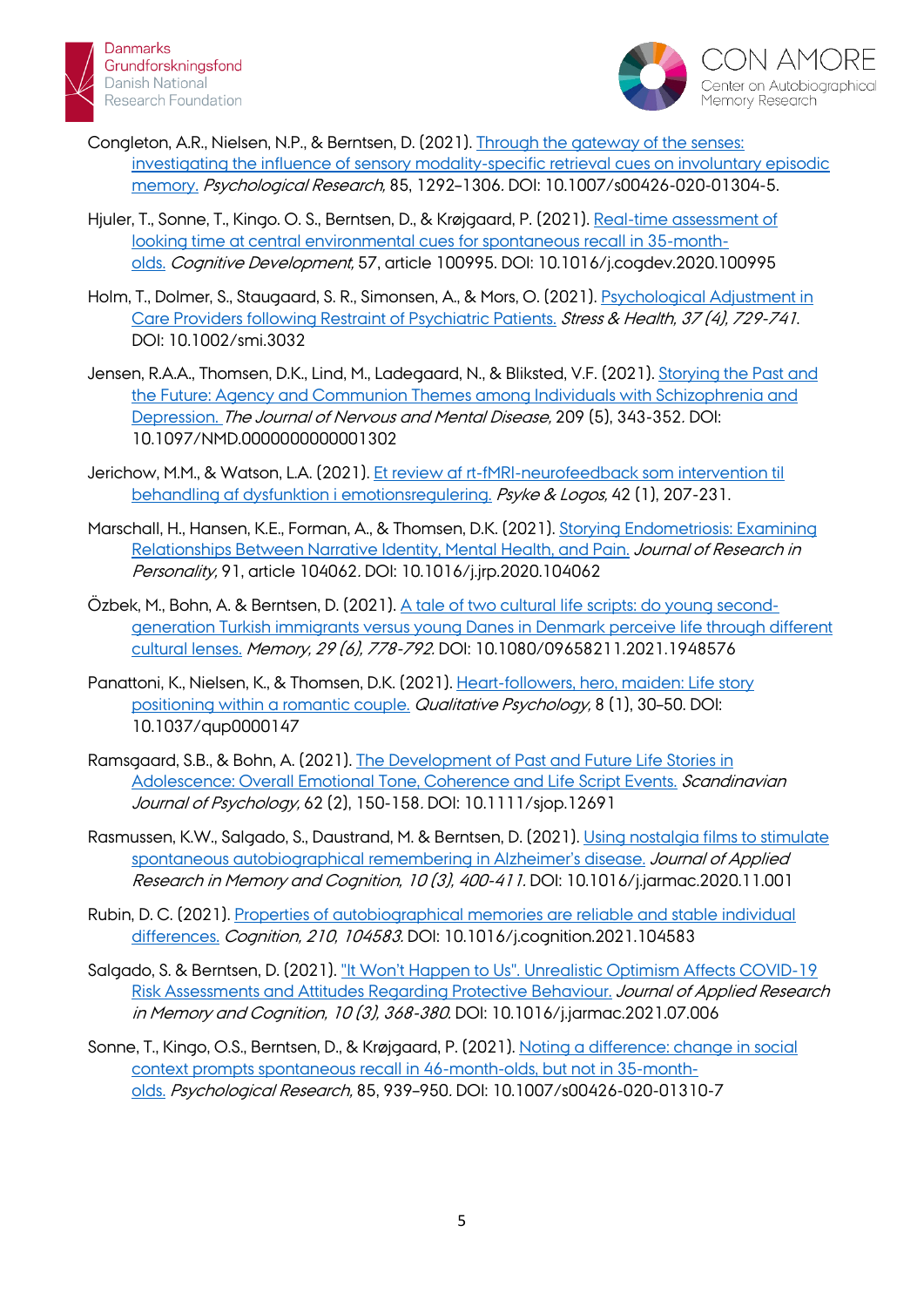



- Congleton, A.R., Nielsen, N.P., & Berntsen, D. (2021). [Through the gateway of the senses:](https://pure.au.dk/portal/en/persons/adam-redman-congleton(8a25198f-7cb6-404c-a5bf-b1d681f36c30)/publications/through-the-gateway-of-the-senses(e04d6345-1531-46b8-8e87-5d9a9ac73d5d).html)  [investigating the influence of sensory modality-specific retrieval cues on involuntary episodic](https://pure.au.dk/portal/en/persons/adam-redman-congleton(8a25198f-7cb6-404c-a5bf-b1d681f36c30)/publications/through-the-gateway-of-the-senses(e04d6345-1531-46b8-8e87-5d9a9ac73d5d).html)  [memory.](https://pure.au.dk/portal/en/persons/adam-redman-congleton(8a25198f-7cb6-404c-a5bf-b1d681f36c30)/publications/through-the-gateway-of-the-senses(e04d6345-1531-46b8-8e87-5d9a9ac73d5d).html) Psychological Research, 85, 1292–1306. DOI: 10.1007/s00426-020-01304-5.
- Hjuler, T., Sonne, T., Kingo. O. S., Berntsen, D., & Krøjgaard, P. (2021). [Real-time assessment of](https://pure.au.dk/portal/da/persons/tirill-fjellhaugen-hjuler(2d3e6a3a-302d-4721-a79f-b30f1b1846a3)/publications/realtime-assessment-of-looking-time-at-central-environmental-cues-for-spontaneous-recall-in-35montholds(d14c25c2-aaae-43bc-83bd-dc4517398b1d).html)  [looking time at central environmental cues for spontaneous recall in 35-month](https://pure.au.dk/portal/da/persons/tirill-fjellhaugen-hjuler(2d3e6a3a-302d-4721-a79f-b30f1b1846a3)/publications/realtime-assessment-of-looking-time-at-central-environmental-cues-for-spontaneous-recall-in-35montholds(d14c25c2-aaae-43bc-83bd-dc4517398b1d).html)[olds.](https://pure.au.dk/portal/da/persons/tirill-fjellhaugen-hjuler(2d3e6a3a-302d-4721-a79f-b30f1b1846a3)/publications/realtime-assessment-of-looking-time-at-central-environmental-cues-for-spontaneous-recall-in-35montholds(d14c25c2-aaae-43bc-83bd-dc4517398b1d).html) Cognitive Development, 57, article 100995. DOI: 10.1016/j.cogdev.2020.100995
- Holm, T., Dolmer, S., Staugaard, S. R., Simonsen, A., & Mors, O. (2021). *Psychological Adjustment in* [Care Providers following Restraint of Psychiatric Patients.](https://pure.au.dk/portal/da/persons/tine-holm(416a19b8-1f86-48cd-83f0-ba07e21e81ad)/publications/psychological-adjustment-in-care-providers-following-restraint-of-psychiatric-patients(a954d15f-68ea-40ea-b7d2-24da7158f157).html) Stress & Health, 37 (4), 729-741. DOI: 10.1002/smi.3032
- Jensen, R.A.A., Thomsen, D.K., Lind, M., Ladegaard, N., & Bliksted, V.F. (2021). Storying [the Past and](https://pure.au.dk/portal/da/persons/rikke-amalie-agergaard-jensen(eb8b999f-8307-447d-8a2f-a836fb6f079b)/publications/storying-the-past-and-the-future(9e4744ac-7e12-482b-9dc3-9bbd823d2cc9).html)  [the Future: Agency and Communion Themes among Individuals with Schizophrenia and](https://pure.au.dk/portal/da/persons/rikke-amalie-agergaard-jensen(eb8b999f-8307-447d-8a2f-a836fb6f079b)/publications/storying-the-past-and-the-future(9e4744ac-7e12-482b-9dc3-9bbd823d2cc9).html)  [Depression.](https://pure.au.dk/portal/da/persons/rikke-amalie-agergaard-jensen(eb8b999f-8307-447d-8a2f-a836fb6f079b)/publications/storying-the-past-and-the-future(9e4744ac-7e12-482b-9dc3-9bbd823d2cc9).html) The Journal of Nervous and Mental Disease, 209 (5), 343-352. DOI: 10.1097/NMD.0000000000001302
- Jerichow, M.M., & Watson, L.A. (2021). [Et review af rt-fMRI-neurofeedback](https://pure.au.dk/portal/en/publications/et-review-af-rtfmrineurofeedback-som-intervention-til-behandling-af-dysfunktion-i-emotionsregulering(7b37623b-a2ff-42ab-9085-4252508a2ac4).html) som intervention til [behandling af dysfunktion i emotionsregulering.](https://pure.au.dk/portal/en/publications/et-review-af-rtfmrineurofeedback-som-intervention-til-behandling-af-dysfunktion-i-emotionsregulering(7b37623b-a2ff-42ab-9085-4252508a2ac4).html) Psyke & Logos, 42 (1), 207-231.
- Marschall, H., Hansen, K.E., Forman, A., & Thomsen, D.K. (2021). [Storying Endometriosis: Examining](https://pure.au.dk/portal/da/persons/dorthe-kirkegaard-thomsen(535c247b-d576-4abf-adb0-3dba6fd5f6eb)/publications/storying-endometriosis(3cdaae18-004c-4888-919f-c642ad9d5ba1).html)  [Relationships Between Narrative Identity, Mental Health, and Pain.](https://pure.au.dk/portal/da/persons/dorthe-kirkegaard-thomsen(535c247b-d576-4abf-adb0-3dba6fd5f6eb)/publications/storying-endometriosis(3cdaae18-004c-4888-919f-c642ad9d5ba1).html) Journal of Research in Personality, 91, article 104062. DOI: 10.1016/j.jrp.2020.104062
- Özbek, M., Bohn, A. & Berntsen, D. (2021). [A tale of two cultural life scripts: do young second](https://pure.au.dk/portal/en/persons/annette-bohn(63156000-0ce0-4610-b068-ee3354380b04)/publications/a-tale-of-two-cultural-life-scripts-do-young-secondgeneration-turkish-immigrants-versus-young-danes-in-denmark-perceive-life-through-different-cultural-lenses(36f47491-4c41-4897-9b6f-d7578b3fed1b).html)[generation Turkish immigrants versus young Danes in Denmark perceive life through different](https://pure.au.dk/portal/en/persons/annette-bohn(63156000-0ce0-4610-b068-ee3354380b04)/publications/a-tale-of-two-cultural-life-scripts-do-young-secondgeneration-turkish-immigrants-versus-young-danes-in-denmark-perceive-life-through-different-cultural-lenses(36f47491-4c41-4897-9b6f-d7578b3fed1b).html)  [cultural lenses.](https://pure.au.dk/portal/en/persons/annette-bohn(63156000-0ce0-4610-b068-ee3354380b04)/publications/a-tale-of-two-cultural-life-scripts-do-young-secondgeneration-turkish-immigrants-versus-young-danes-in-denmark-perceive-life-through-different-cultural-lenses(36f47491-4c41-4897-9b6f-d7578b3fed1b).html) Memory, 29 (6), 778-792. DOI: 10.1080/09658211.2021.1948576
- Panattoni, K., Nielsen, K., & Thomsen, D.K. (2021). [Heart-followers, hero, maiden: Life story](https://pure.au.dk/portal/da/persons/katherine-w-panattoni(a918a7e7-7171-4ce0-af39-ba9b59c708ed)/publications/heartfollowers-hero-maiden(89f002a0-aa38-44ce-9be6-cde2ed0347f4).html)  [positioning within a romantic couple.](https://pure.au.dk/portal/da/persons/katherine-w-panattoni(a918a7e7-7171-4ce0-af39-ba9b59c708ed)/publications/heartfollowers-hero-maiden(89f002a0-aa38-44ce-9be6-cde2ed0347f4).html) Qualitative Psychology, 8 (1), 30–50. DOI: 10.1037/qup0000147
- Ramsgaard, S.B., & Bohn, A. (2021). [The Development of Past and Future Life Stories in](https://pure.au.dk/portal/da/persons/annette-bohn(63156000-0ce0-4610-b068-ee3354380b04)/publications/the-development-of-past-and-future-life-stories-in-adolescence-overall-emotional-tone-coherence-and-life-script-events(566ca79e-5253-464d-94ca-5b773d5cd177).html)  [Adolescence: Overall Emotional Tone, Coherence and Life Script Events.](https://pure.au.dk/portal/da/persons/annette-bohn(63156000-0ce0-4610-b068-ee3354380b04)/publications/the-development-of-past-and-future-life-stories-in-adolescence-overall-emotional-tone-coherence-and-life-script-events(566ca79e-5253-464d-94ca-5b773d5cd177).html) Scandinavian Journal of Psychology, 62 (2), 150-158. DOI: 10.1111/sjop.12691
- Rasmussen, K.W., Salgado, S., Daustrand, M. & Berntsen, D. (2021). [Using nostalgia films to stimulate](https://pure.au.dk/portal/da/persons/katrine-willemoes-rasmussen(9df5a07e-17ed-431d-850c-011842ac8c4c)/publications/using-nostalgia-films-to-stimulate-spontaneous-autobiographical-remembering-in-alzheimers-disease(6400e0a6-7b2d-49aa-ad6c-28374e8df6de).html)  [spontaneous autobiographical remembering in Alzheimer's disease.](https://pure.au.dk/portal/da/persons/katrine-willemoes-rasmussen(9df5a07e-17ed-431d-850c-011842ac8c4c)/publications/using-nostalgia-films-to-stimulate-spontaneous-autobiographical-remembering-in-alzheimers-disease(6400e0a6-7b2d-49aa-ad6c-28374e8df6de).html) Journal of Applied Research in Memory and Cognition, 10 (3), 400-411. DOI: 10.1016/j.jarmac.2020.11.001
- Rubin, D. C. (2021). [Properties of autobiographical memories are reliable and stable individual](https://pubmed.ncbi.nlm.nih.gov/33636532/)  [differences.](https://pubmed.ncbi.nlm.nih.gov/33636532/) Cognition, 210, 104583. DOI: 10.1016/j.cognition.2021.104583
- Salgado, S. & Berntsen, D. (2021). ["It Won't Happen to Us". Unrealistic Optimism Affects COVID-19](https://pure.au.dk/portal/da/persons/sinue-salgado(3d8661ac-18c6-4591-881b-c6471fd69744)/publications/it-wont-happen-to-us-unrealistic-optimism-affects-covid19-risk-assessments-and-attitudes-regarding-protective-behaviour(3e51f42e-0c3d-4961-968d-804ba9f050c3).html)  [Risk Assessments and Attitudes Regarding Protective Behaviour.](https://pure.au.dk/portal/da/persons/sinue-salgado(3d8661ac-18c6-4591-881b-c6471fd69744)/publications/it-wont-happen-to-us-unrealistic-optimism-affects-covid19-risk-assessments-and-attitudes-regarding-protective-behaviour(3e51f42e-0c3d-4961-968d-804ba9f050c3).html) Journal of Applied Research in Memory and Cognition, 10 (3), 368-380. DOI: 10.1016/j.jarmac.2021.07.006
- Sonne, T., Kingo, O.S., Berntsen, D., & Krøjgaard, P. (2021). [Noting a difference: change in social](https://pure.au.dk/portal/da/publications/noting-a-difference(567daec0-b42e-441e-a7dd-cb03db2cb606).html)  [context prompts spontaneous recall in 46-month-olds, but not in 35-month](https://pure.au.dk/portal/da/publications/noting-a-difference(567daec0-b42e-441e-a7dd-cb03db2cb606).html)[olds.](https://pure.au.dk/portal/da/publications/noting-a-difference(567daec0-b42e-441e-a7dd-cb03db2cb606).html) Psychological Research, 85, 939–950. DOI: 10.1007/s00426-020-01310-7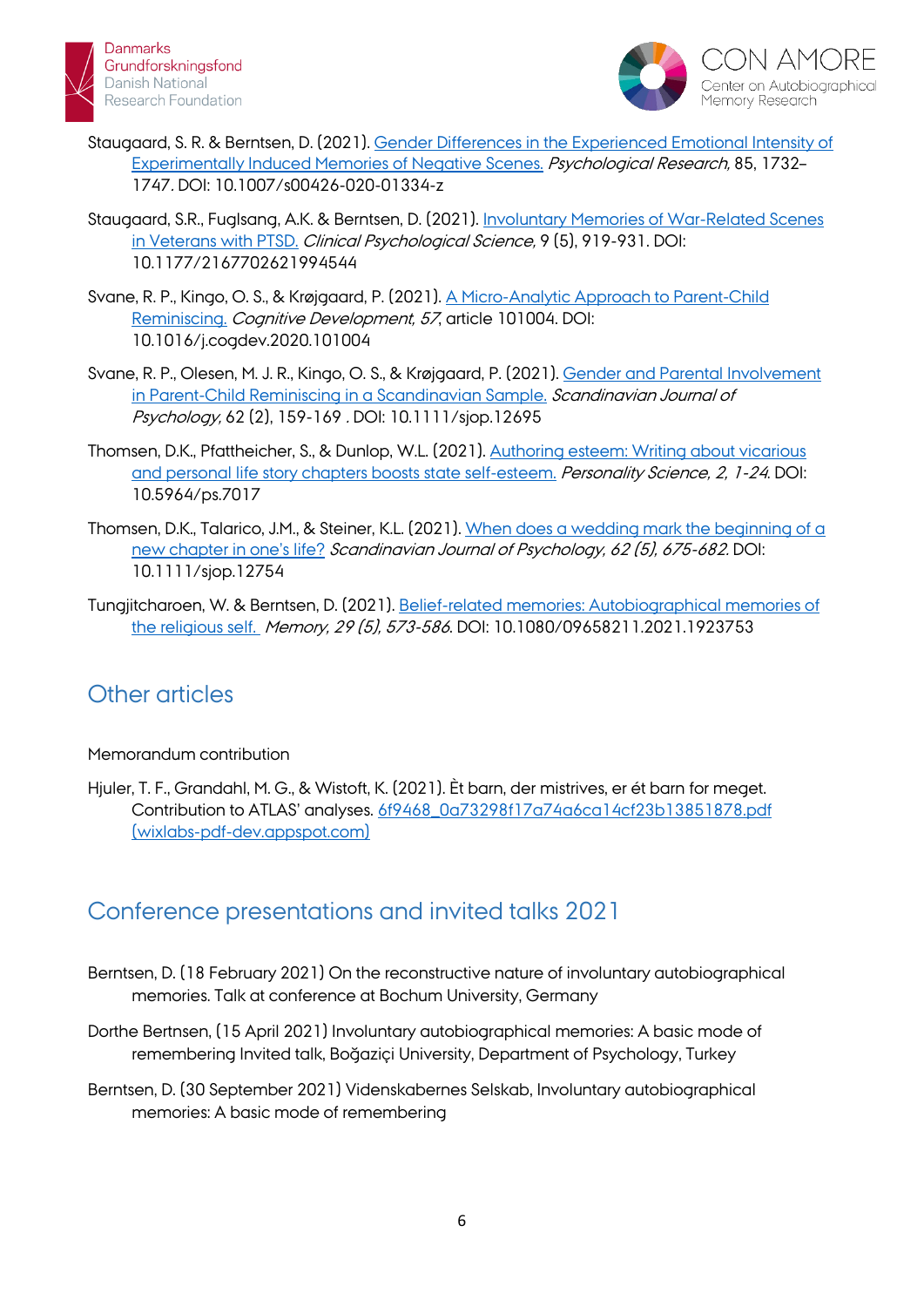



- Staugaard, S. R. & Berntsen, D. (2021). [Gender Differences in the Experienced Emotional Intensity of](https://pure.au.dk/portal/da/persons/soeren-risloev-staugaard(1175708f-e446-4ec3-a81b-63e7f0d2e848)/publications/gender-differences-in-the-experienced-emotional-intensity-of-experimentaly-induced-memories-of-negative-scenes(9f87c61f-2855-4090-8201-1a1f8bfcb4ac).html)  [Experimentally Induced Memories of Negative Scenes.](https://pure.au.dk/portal/da/persons/soeren-risloev-staugaard(1175708f-e446-4ec3-a81b-63e7f0d2e848)/publications/gender-differences-in-the-experienced-emotional-intensity-of-experimentaly-induced-memories-of-negative-scenes(9f87c61f-2855-4090-8201-1a1f8bfcb4ac).html) Psychological Research, 85, 1732– 1747. DOI: 10.1007/s00426-020-01334-z
- Staugaard, S.R., Fuglsang, A.K. & Berntsen, D. (2021). [Involuntary Memories of War-Related Scenes](https://pure.au.dk/portal/da/persons/soeren-risloev-staugaard(1175708f-e446-4ec3-a81b-63e7f0d2e848)/publications/involuntary-memories-of-warrelated-scenes-in-veterans-with-ptsd(0b1bf732-131a-40a1-8853-a67072b86d89).html)  [in Veterans with PTSD.](https://pure.au.dk/portal/da/persons/soeren-risloev-staugaard(1175708f-e446-4ec3-a81b-63e7f0d2e848)/publications/involuntary-memories-of-warrelated-scenes-in-veterans-with-ptsd(0b1bf732-131a-40a1-8853-a67072b86d89).html) Clinical Psychological Science, 9 (5), 919-931. DOI: 10.1177/2167702621994544
- Svane, R. P., Kingo, O. S., & Krøjgaard, P. (2021). [A Micro-Analytic Approach](https://pure.au.dk/portal/en/persons/riikka-pauliina-svane(ddd9635e-4c10-4ac7-8287-fd6bfb4e6a56)/publications/a-microanalytic-approach-to-parentchild-reminiscing(8ceebe60-ca63-439c-8531-4309da6c4c4c).html) to Parent-Child [Reminiscing.](https://pure.au.dk/portal/en/persons/riikka-pauliina-svane(ddd9635e-4c10-4ac7-8287-fd6bfb4e6a56)/publications/a-microanalytic-approach-to-parentchild-reminiscing(8ceebe60-ca63-439c-8531-4309da6c4c4c).html) Cognitive Development, 57, article 101004. DOI: 10.1016/j.cogdev.2020.101004
- Svane, R. P., Olesen, M. J. R., Kingo, O. S., & Krøjgaard, P. (2021). [Gender and Parental Involvement](https://pure.au.dk/portal/da/persons/riikka-pauliina-svane(ddd9635e-4c10-4ac7-8287-fd6bfb4e6a56)/publications/gender-and-parental-involvement-in-parentchild-reminiscing-in-a-scandinavian-sample(7ab37187-8fd7-468b-bb2c-a495f403cc89).html)  [in Parent-Child Reminiscing in a Scandinavian Sample.](https://pure.au.dk/portal/da/persons/riikka-pauliina-svane(ddd9635e-4c10-4ac7-8287-fd6bfb4e6a56)/publications/gender-and-parental-involvement-in-parentchild-reminiscing-in-a-scandinavian-sample(7ab37187-8fd7-468b-bb2c-a495f403cc89).html) Scandinavian Journal of Psychology, 62 (2), 159-169 . DOI: 10.1111/sjop.12695
- Thomsen, D.K., Pfattheicher, S., & Dunlop, W.L. (2021). [Authoring esteem: Writing about vicarious](https://pure.au.dk/portal/da/persons/dorthe-kirkegaard-thomsen(535c247b-d576-4abf-adb0-3dba6fd5f6eb)/publications/authoring-esteem(9dc18f92-1474-4fbb-81dc-fd0dae7b73e6).html)  [and personal life story chapters boosts state self-esteem.](https://pure.au.dk/portal/da/persons/dorthe-kirkegaard-thomsen(535c247b-d576-4abf-adb0-3dba6fd5f6eb)/publications/authoring-esteem(9dc18f92-1474-4fbb-81dc-fd0dae7b73e6).html) Personality Science, 2, 1-24. DOI: 10.5964/ps.7017
- Thomsen, D.K., Talarico, J.M., & Steiner, K.L. (2021). When does a wedding mark the beginning of a [new chapter in one's life?](https://pure.au.dk/portal/da/persons/dorthe-kirkegaard-thomsen(535c247b-d576-4abf-adb0-3dba6fd5f6eb)/publications/when-does-a-wedding-mark-the-beginning-of-a-new-chapter-in-ones-life(9a79f9bd-14e7-4e0e-a7cd-27c48c74bf58).html) Scandinavian Journal of Psychology, 62 (5), 675-682. DOI: 10.1111/sjop.12754
- Tungjitcharoen, W. & Berntsen, D. (2021). [Belief-related memories: Autobiographical memories of](https://pure.au.dk/portal/da/persons/worawach-tungjitcharoen(1a998f28-2fe4-4695-b8ff-354cd32fa77a)/publications/beliefrelated-memories-autobiographical-memories-of-the-religious-self(08a4705c-9389-4c8c-9134-f6f61d94733c).html)  [the religious self.](https://pure.au.dk/portal/da/persons/worawach-tungjitcharoen(1a998f28-2fe4-4695-b8ff-354cd32fa77a)/publications/beliefrelated-memories-autobiographical-memories-of-the-religious-self(08a4705c-9389-4c8c-9134-f6f61d94733c).html) Memory, 29 (5), 573-586. DOI: 10.1080/09658211.2021.1923753

## Other articles

### Memorandum contribution

Hjuler, T. F., Grandahl, M. G., & Wistoft, K. (2021). Èt barn, der mistrives, er ét barn for meget. Contribution to ATLAS' analyses. [6f9468\\_0a73298f17a74a6ca14cf23b13851878.pdf](https://wixlabs-pdf-dev.appspot.com/assets/pdfjs/web/viewer.html?file=%2Fpdfproxy%3Finstance%3DQ8g9KysDtSqulXsqOWznilGsfFY4zwLj4q5ToI7HFmA.eyJpbnN0YW5jZUlkIjoiNWQ5MmM5ZGEtZmEzMS00Zjg0LWJiMjQtYzIzOTVjNjM0ZDQxIiwiYXBwRGVmSWQiOiIxM2VlMTBhMy1lY2I5LTdlZmYtNDI5OC1kMmY5ZjM0YWNmMGQiLCJtZXRhU2l0ZUlkIjoiYWZkMGU5MDItOGY1ZC00MDE1LThkY2QtNzA5NjEyOTljMTQwIiwic2lnbkRhdGUiOiIyMDIxLTExLTA1VDA3OjU3OjA5Ljc5OVoiLCJkZW1vTW9kZSI6ZmFsc2UsImFpZCI6IjQ2YzY2ZTYwLTI1ODktNDNkZS1hZTIwLTliMzhhZmNhMDA4ZSIsImJpVG9rZW4iOiJmMjQyMjBkOC03NTZjLTBmOTEtMzZlOS1iMmFmNGVmYThjMDEiLCJzaXRlT3duZXJJZCI6IjZmOTQ2ODQwLTExNDYtNDk1MC1hNGIxLWI5YzY3MTFjMjg4OCJ9%26compId%3Dcomp-ksak4pxj%26url%3Dhttps%3A%2F%2Fdocs.wixstatic.com%2Fugd%2F6f9468_0a73298f17a74a6ca14cf23b13851878.pdf#page=1&links=true&originalFileName=Konsekvenser%20af%20nedlukninger%20for%20b%C3%B8rns%20helbred&locale=en&allowDownload=true&allowPrinting=true)  [\(wixlabs-pdf-dev.appspot.com\)](https://wixlabs-pdf-dev.appspot.com/assets/pdfjs/web/viewer.html?file=%2Fpdfproxy%3Finstance%3DQ8g9KysDtSqulXsqOWznilGsfFY4zwLj4q5ToI7HFmA.eyJpbnN0YW5jZUlkIjoiNWQ5MmM5ZGEtZmEzMS00Zjg0LWJiMjQtYzIzOTVjNjM0ZDQxIiwiYXBwRGVmSWQiOiIxM2VlMTBhMy1lY2I5LTdlZmYtNDI5OC1kMmY5ZjM0YWNmMGQiLCJtZXRhU2l0ZUlkIjoiYWZkMGU5MDItOGY1ZC00MDE1LThkY2QtNzA5NjEyOTljMTQwIiwic2lnbkRhdGUiOiIyMDIxLTExLTA1VDA3OjU3OjA5Ljc5OVoiLCJkZW1vTW9kZSI6ZmFsc2UsImFpZCI6IjQ2YzY2ZTYwLTI1ODktNDNkZS1hZTIwLTliMzhhZmNhMDA4ZSIsImJpVG9rZW4iOiJmMjQyMjBkOC03NTZjLTBmOTEtMzZlOS1iMmFmNGVmYThjMDEiLCJzaXRlT3duZXJJZCI6IjZmOTQ2ODQwLTExNDYtNDk1MC1hNGIxLWI5YzY3MTFjMjg4OCJ9%26compId%3Dcomp-ksak4pxj%26url%3Dhttps%3A%2F%2Fdocs.wixstatic.com%2Fugd%2F6f9468_0a73298f17a74a6ca14cf23b13851878.pdf#page=1&links=true&originalFileName=Konsekvenser%20af%20nedlukninger%20for%20b%C3%B8rns%20helbred&locale=en&allowDownload=true&allowPrinting=true)

## Conference presentations and invited talks 2021

- Berntsen, D. (18 February 2021) On the reconstructive nature of involuntary autobiographical memories. Talk at conference at Bochum University, Germany
- Dorthe Bertnsen, (15 April 2021) Involuntary autobiographical memories: A basic mode of remembering Invited talk, Boğaziçi University, Department of Psychology, Turkey
- Berntsen, D. (30 September 2021) Videnskabernes Selskab, Involuntary autobiographical memories: A basic mode of remembering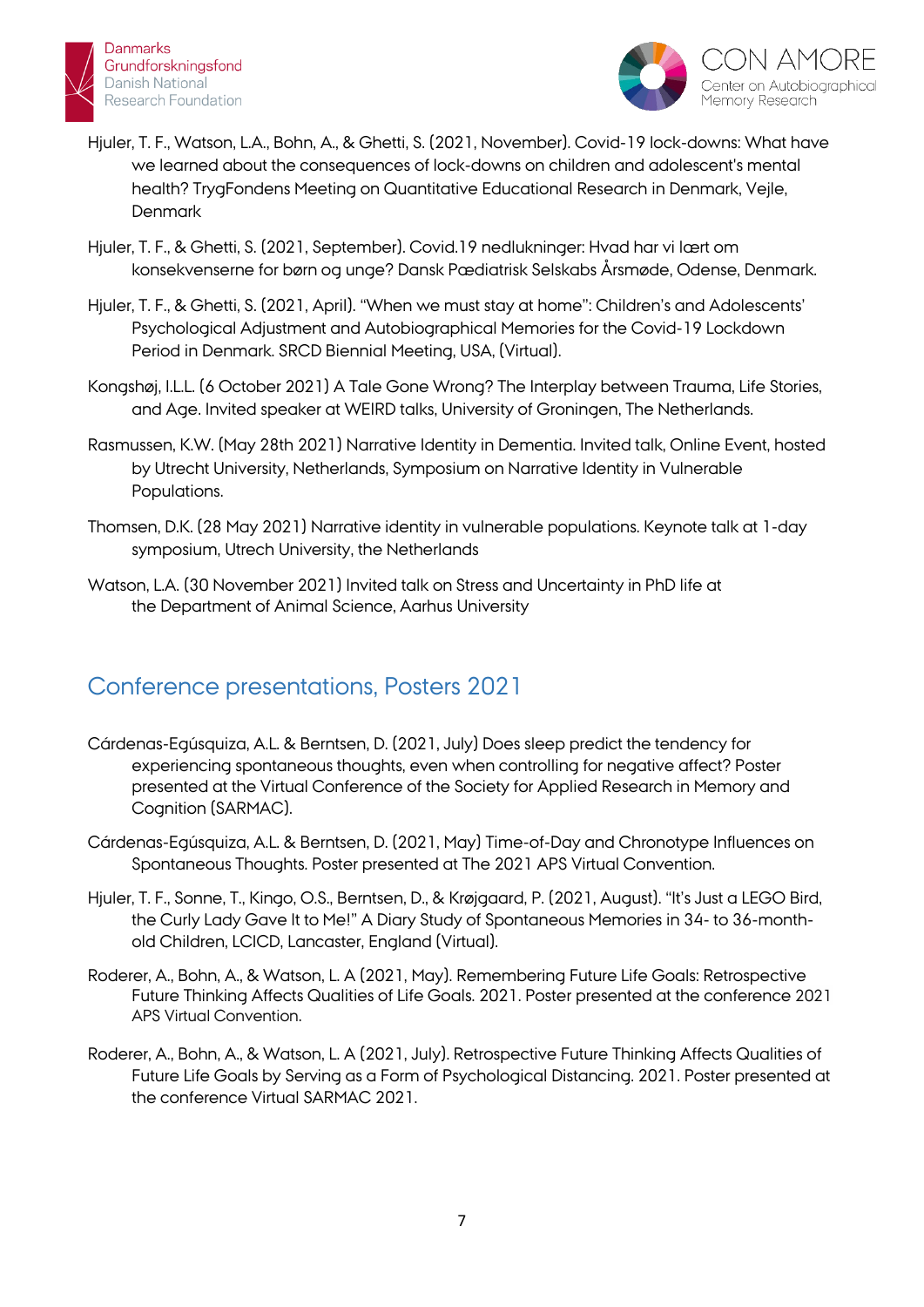



- Hjuler, T. F., Watson, L.A., Bohn, A., & Ghetti, S. (2021, November). Covid-19 lock-downs: What have we learned about the consequences of lock-downs on children and adolescent's mental health? TrygFondens Meeting on Quantitative Educational Research in Denmark, Vejle, **Denmark**
- Hjuler, T. F., & Ghetti, S. (2021, September). Covid.19 nedlukninger: Hvad har vi lært om konsekvenserne for børn og unge? Dansk Pædiatrisk Selskabs Årsmøde, Odense, Denmark.
- Hjuler, T. F., & Ghetti, S. (2021, April). "When we must stay at home": Children's and Adolescents' Psychological Adjustment and Autobiographical Memories for the Covid-19 Lockdown Period in Denmark. SRCD Biennial Meeting, USA, (Virtual).
- Kongshøj, I.L.L. (6 October 2021) A Tale Gone Wrong? The Interplay between Trauma, Life Stories, and Age. Invited speaker at WEIRD talks, University of Groningen, The Netherlands.
- Rasmussen, K.W. (May 28th 2021) Narrative Identity in Dementia. Invited talk, Online Event, hosted by Utrecht University, Netherlands, Symposium on Narrative Identity in Vulnerable Populations.
- Thomsen, D.K. (28 May 2021) Narrative identity in vulnerable populations. Keynote talk at 1-day symposium, Utrech University, the Netherlands
- Watson, L.A. (30 November 2021) Invited talk on Stress and Uncertainty in PhD life at the Department of Animal Science, Aarhus University

## Conference presentations, Posters 2021

- Cárdenas-Egúsquiza, A.L. & Berntsen, D. (2021, July) Does sleep predict the tendency for experiencing spontaneous thoughts, even when controlling for negative affect? Poster presented at the Virtual Conference of the Society for Applied Research in Memory and Cognition (SARMAC).
- Cárdenas-Egúsquiza, A.L. & Berntsen, D. (2021, May) Time-of-Day and Chronotype Influences on Spontaneous Thoughts. Poster presented at The 2021 APS Virtual Convention.
- Hjuler, T. F., Sonne, T., Kingo, O.S., Berntsen, D., & Krøjgaard, P. (2021, August). "It's Just a LEGO Bird, the Curly Lady Gave It to Me!" A Diary Study of Spontaneous Memories in 34- to 36-monthold Children, LCICD, Lancaster, England (Virtual).
- Roderer, A., Bohn, A., & Watson, L. A (2021, May). Remembering Future Life Goals: Retrospective Future Thinking Affects Qualities of Life Goals. 2021. Poster presented at the conference 2021 APS Virtual Convention.
- Roderer, A., Bohn, A., & Watson, L. A (2021, July). Retrospective Future Thinking Affects Qualities of Future Life Goals by Serving as a Form of Psychological Distancing. 2021. Poster presented at the conference Virtual SARMAC 2021.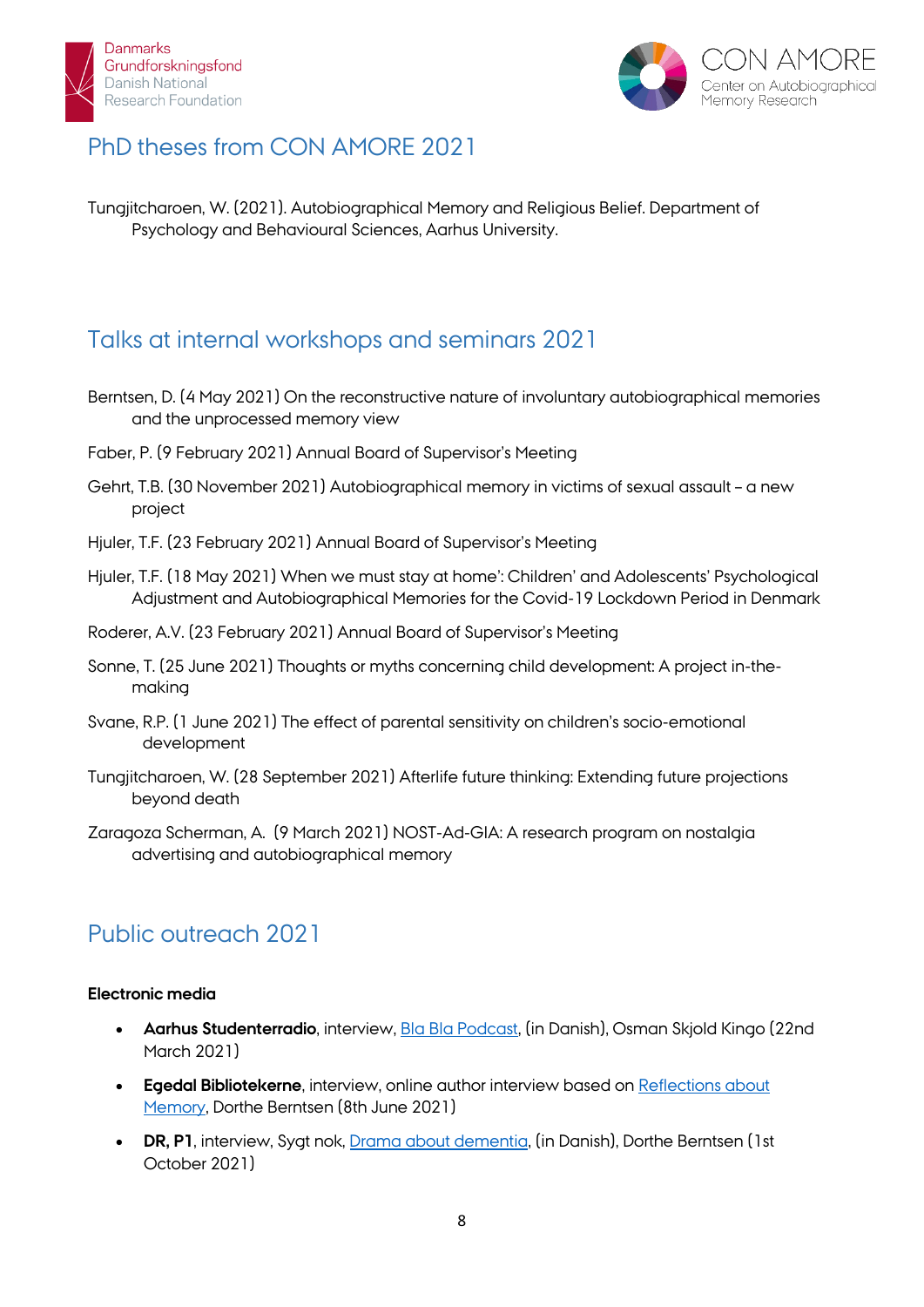



# PhD theses from CON AMORE 2021

Tungjitcharoen, W. (2021). Autobiographical Memory and Religious Belief. Department of Psychology and Behavioural Sciences, Aarhus University.

# Talks at internal workshops and seminars 2021

- Berntsen, D. (4 May 2021) On the reconstructive nature of involuntary autobiographical memories and the unprocessed memory view
- Faber, P. (9 February 2021) Annual Board of Supervisor's Meeting
- Gehrt, T.B. (30 November 2021) Autobiographical memory in victims of sexual assault a new project
- Hjuler, T.F. (23 February 2021) Annual Board of Supervisor's Meeting
- Hjuler, T.F. (18 May 2021) When we must stay at home': Children' and Adolescents' Psychological Adjustment and Autobiographical Memories for the Covid-19 Lockdown Period in Denmark
- Roderer, A.V. (23 February 2021) Annual Board of Supervisor's Meeting
- Sonne, T. (25 June 2021) Thoughts or myths concerning child development: A project in-themaking
- Svane, R.P. (1 June 2021) The effect of parental sensitivity on children's socio-emotional development
- Tungjitcharoen, W. (28 September 2021) Afterlife future thinking: Extending future projections beyond death
- Zaragoza Scherman, A. (9 March 2021) NOST-Ad-GIA: A research program on nostalgia advertising and autobiographical memory

## Public outreach 2021

#### **Electronic media**

- **Aarhus Studenterradio**, interview, [Bla Bla Podcast,](https://www.facebook.com/blablapodcast/posts/1179377985844669) (in Danish), Osman Skjold Kingo (22nd March 2021)
- **Egedal Bibliotekerne**, interview, online author interview based on [Reflections about](https://www.facebook.com/events/2871274673140963/)  [Memory,](https://www.facebook.com/events/2871274673140963/) Dorthe Berntsen (8th June 2021)
- **DR, P1**, interview, Sygt nok, [Drama about dementia,](https://www.dr.dk/lyd/p1/sygt-nok/sygt-nok-2021-10-01) (in Danish), Dorthe Berntsen (1st October 2021)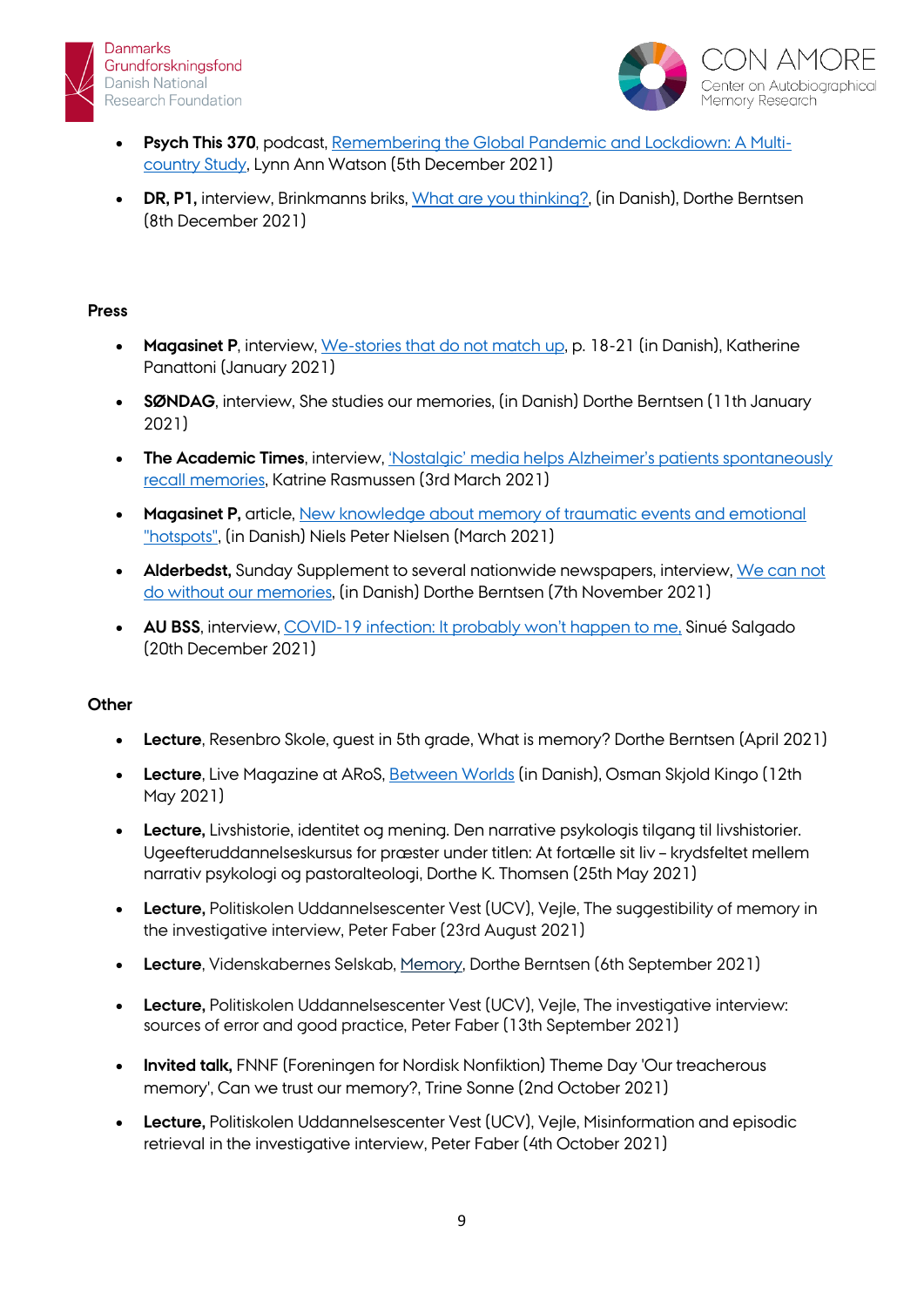



- **Psych This 370**, podcast, [Remembering the Global Pandemic and Lockdiown: A Multi](https://www.youtube.com/watch?v=pfp1p1VU6vo)[country Study,](https://www.youtube.com/watch?v=pfp1p1VU6vo) Lynn Ann Watson (5th December 2021)
- **DR, P1,** interview, Brinkmanns briks, [What are you thinking?,](https://www.dr.dk/lyd/p1/brinkmanns-briks/brinkmanns-briks-hvad-taenker-du-pa-dorthe-berntsen) (in Danish), Dorthe Berntsen (8th December 2021)

#### **Press**

- **Magasinet P**, interview, [We-stories that do not match up,](https://infolink2020.dk/PsyNyt/Forsider/PMagasin012021.pdf) p. 18-21 (in Danish), Katherine Panattoni (January 2021)
- **SØNDAG**, interview, She studies our memories, (in Danish) Dorthe Berntsen (11th January 2021)
- **The Academic Times**, interview, 'Nostalgic' media helps Alzheimer's patients spontaneously [recall memories,](https://academictimes.com/nostalgic-media-helps-alzheimers-patients-spontaneously-recall-memories/) Katrine Rasmussen (3rd March 2021)
- **Magasinet P,** article, [New knowledge about memory of traumatic events and emotional](https://infolink2020.dk/PsyNyt/Dokumenter/doc/19235.pdf)  ["hotspots",](https://infolink2020.dk/PsyNyt/Dokumenter/doc/19235.pdf) (in Danish) Niels Peter Nielsen (March 2021)
- **Alderbedst,** Sunday Supplement to several nationwide newspapers, interview, [We can not](https://jfmtillaeg.e-pages.pub/titles/jfmtillaeg/11470/publications/2736/pages/18)  [do without our memories,](https://jfmtillaeg.e-pages.pub/titles/jfmtillaeg/11470/publications/2736/pages/18) (in Danish) Dorthe Berntsen (7th November 2021)
- **AU BSS**, interview, [COVID-19 infection: It probably won't happen to me,](https://bss.au.dk/en/aarhus-bss-nyheder/show/artikel/about-aarhus-bss/news/showtx-news-pi15baction5ddetailtx-news-pi15bcontroller5dnewstx-news-pi15bnews-preview5d10767chashb2c572ebf550f04b667b7e7128f0ab02) Sinué Salgado (20th December 2021)

#### **Other**

- **Lecture**, Resenbro Skole, guest in 5th grade, What is memory? Dorthe Berntsen (April 2021)
- **Lecture**, Live Magazine at ARoS, [Between Worlds](https://fb.watch/5Zv8dljQqu/) (in Danish), Osman Skjold Kingo (12th May 2021)
- **Lecture,** Livshistorie, identitet og mening. Den narrative psykologis tilgang til livshistorier. Ugeefteruddannelseskursus for præster under titlen: At fortælle sit liv – krydsfeltet mellem narrativ psykologi og pastoralteologi, Dorthe K. Thomsen (25th May 2021)
- **Lecture,** Politiskolen Uddannelsescenter Vest (UCV), Vejle, The suggestibility of memory in the investigative interview, Peter Faber (23rd August 2021)
- **Lecture**, Videnskabernes Selskab, [Memory,](https://www.royalacademy.dk/da/Global/Delt-indhold/Arrangement-Archive/2021_09_06_Dorthe-Berntsen) Dorthe Berntsen (6th September 2021)
- **Lecture,** Politiskolen Uddannelsescenter Vest (UCV), Vejle, The investigative interview: sources of error and good practice, Peter Faber (13th September 2021)
- **Invited talk,** FNNF (Foreningen for Nordisk Nonfiktion) Theme Day 'Our treacherous memory', Can we trust our memory?, Trine Sonne (2nd October 2021)
- **Lecture,** Politiskolen Uddannelsescenter Vest (UCV), Vejle, Misinformation and episodic retrieval in the investigative interview, Peter Faber (4th October 2021)